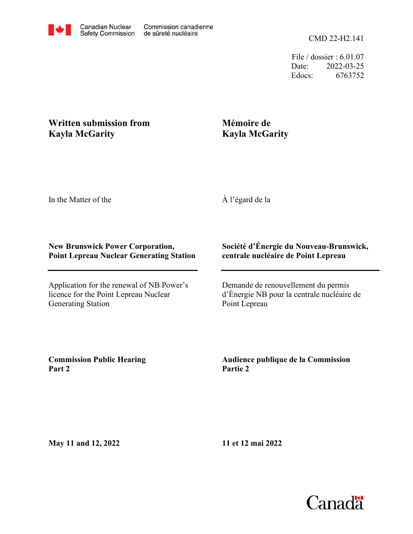File / dossier : 6.01.07 Date: 2022-03-25 Edocs: 6763752

## **Written submission from Kayla McGarity**

## **Mémoire de Kayla McGarity**

In the Matter of the

À l'égard de la

## **New Brunswick Power Corporation, Point Lepreau Nuclear Generating Station**

Application for the renewal of NB Power's licence for the Point Lepreau Nuclear Generating Station

## **Société d'Énergie du Nouveau-Brunswick, centrale nucléaire de Point Lepreau**

Demande de renouvellement du permis d'Énergie NB pour la centrale nucléaire de Point Lepreau

**Commission Public Hearing Part 2**

**Audience publique de la Commission Partie 2**

**May 11 and 12, 2022**

**11 et 12 mai 2022**